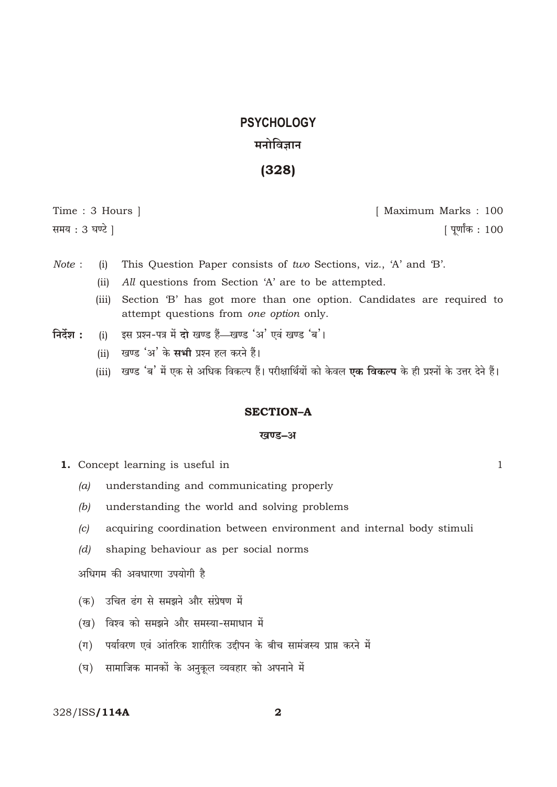# **PSYCHOLOGY** मनोविज्ञान

 $(328)$ 

Time: 3 Hours | समय : 3 घण्टे |

[ Maximum Marks: 100 [ पूर्णांक : 100

 $\mathbf{1}$ 

- Note: This Question Paper consists of two Sections, viz., 'A' and 'B'.  $(i)$ 
	- All questions from Section 'A' are to be attempted.  $(ii)$
	- Section 'B' has got more than one option. Candidates are required to  $(iii)$ attempt questions from one option only.
- निर्देश : इस प्रश्न-पत्र में दो खण्ड हैं-खण्ड 'अ' एवं खण्ड 'ब'।  $(i)$ 
	- खण्ड 'अ' के **सभी** प्रश्न हल करने हैं।  $(ii)$
	- (iii) खण्ड 'ब' में एक से अधिक विकल्प हैं। परीक्षार्थियों को केवल **एक विकल्प** के ही प्रश्नों के उत्तर देने हैं।

### **SECTION-A**

#### खण्ड-अ

- 1. Concept learning is useful in
	- understanding and communicating properly  $(a)$
	- $(b)$ understanding the world and solving problems
	- acquiring coordination between environment and internal body stimuli  $|c|$
	- shaping behaviour as per social norms  $(d)$

अधिगम की अवधारणा उपयोगी है

- (क) उचित ढंग से समझने और संप्रेषण में
- (ख) विश्व को समझने और समस्या-समाधान में
- (ग) पर्यावरण एवं आंतरिक शारीरिक उद्दीपन के बीच सामंजस्य प्राप्त करने में
- (घ) सामाजिक मानकों के अनुकूल व्यवहार को अपनाने में

### 328/ISS/114A

 $\overline{\mathbf{2}}$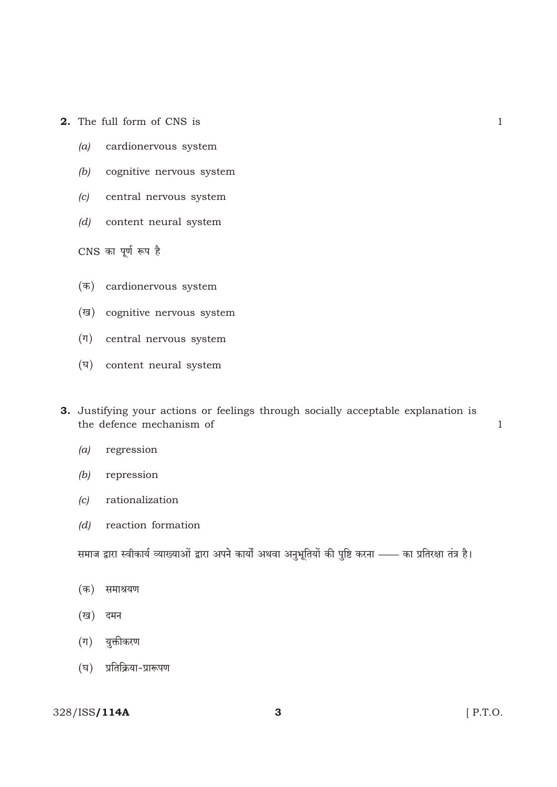- 2. The full form of CNS is
	- cardionervous system  $(a)$
	- $(b)$ cognitive nervous system
	- central nervous system  $(c)$
	- (d) content neural system

CNS का पूर्ण रूप है

- (क) cardionervous system
- (ख) cognitive nervous system
- $(\overline{\eta})$  central nervous system
- (घ) content neural system
- 3. Justifying your actions or feelings through socially acceptable explanation is the defence mechanism of
	- regression  $(a)$
	- $(b)$ repression
	- rationalization  $\left( c\right)$
	- reaction formation  $(d)$

समाज द्वारा स्वीकार्य व्याख्याओं द्वारा अपने कार्यों अथवा अनुभूतियों की पुष्टि करना —— का प्रतिरक्षा तंत्र है।

- (क) समाश्रयण
- (ख) दमन
- (ग) युक्तीकरण
- (घ) प्रतिक्रिया-प्रारूपण

### 328/ISS/114A

 $\mathbf{1}$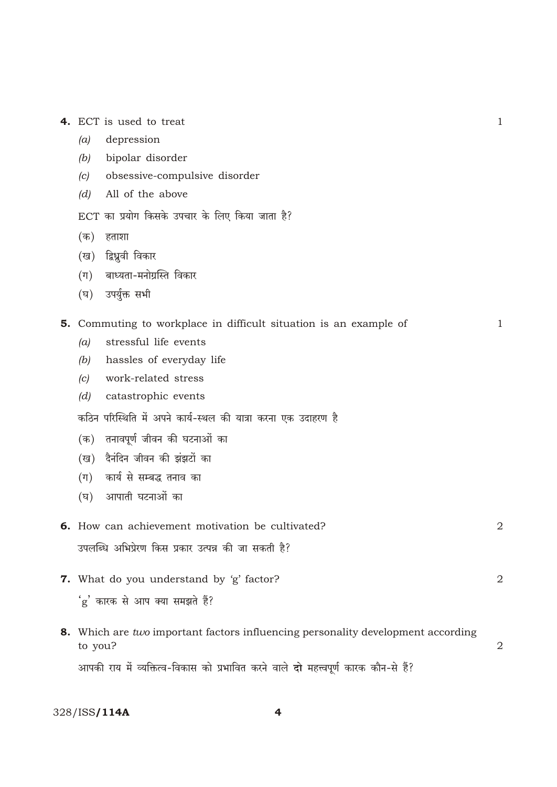|  |  | <b>4.</b> ECT is used to treat |  |
|--|--|--------------------------------|--|
|  |  |                                |  |

- depression  $(a)$
- $(b)$ bipolar disorder
- obsessive-compulsive disorder  $(c)$
- $(d)$ All of the above
- ECT का प्रयोग किसके उपचार के लिए किया जाता है?
- (क) हताशा
- (ख) द्विध्रूवी विकार
- $(\pi)$ बाध्यता-मनोग्रस्ति विकार
- उपर्युक्त सभी  $(\overline{\mathbf{p}})$

### 5. Commuting to workplace in difficult situation is an example of

- $(a)$ stressful life events
- $(b)$ hassles of everyday life
- $(c)$ work-related stress
- $(d)$ catastrophic events

कठिन परिस्थिति में अपने कार्य-स्थल की यात्रा करना एक उदाहरण है

- (क) तनावपूर्ण जीवन की घटनाओं का
- (ख) दैनंदिन जीवन की झंझटों का
- (ग) कार्य से सम्बद्ध तनाव का
- (घ) आपाती घटनाओं का

| <b>6.</b> How can achievement motivation be cultivated? |  |
|---------------------------------------------------------|--|
| उपलब्धि अभिप्रेरण किस प्रकार उत्पन्न की जा सकती है?     |  |

7. What do you understand by 'g' factor? 'g' कारक से आप क्या समझते हैं?

8. Which are two important factors influencing personality development according  $\overline{2}$ to you?

आपकी राय में व्यक्तित्व-विकास को प्रभावित करने वाले दो महत्त्वपूर्ण कारक कौन-से हैं?

328/ISS/114A

 $\mathbf{1}$ 

 $\mathbf{1}$ 

 $\overline{2}$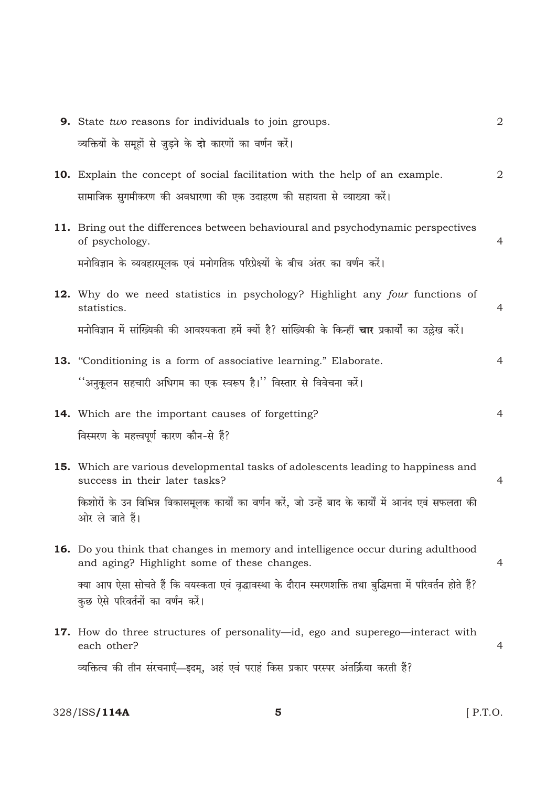| <b>9.</b> State <i>two</i> reasons for individuals to join groups.                                                                               | 2              |
|--------------------------------------------------------------------------------------------------------------------------------------------------|----------------|
| व्यक्तियों के समूहों से जुड़ने के दो कारणों का वर्णन करें।                                                                                       |                |
| <b>10.</b> Explain the concept of social facilitation with the help of an example.                                                               | $\sqrt{2}$     |
| सामाजिक सुगमीकरण की अवधारणा की एक उदाहरण की सहायता से व्याख्या करें।                                                                             |                |
| <b>11.</b> Bring out the differences between behavioural and psychodynamic perspectives<br>of psychology.                                        | $\overline{4}$ |
| मनोविज्ञान के व्यवहारमूलक एवं मनोगतिक परिप्रेक्ष्यों के बीच अंतर का वर्णन करें।                                                                  |                |
| 12. Why do we need statistics in psychology? Highlight any four functions of<br>statistics.                                                      | $\overline{4}$ |
| मनोविज्ञान में सांख्यिकी की आवश्यकता हमें क्यों है? सांख्यिकी के किन्हीं <b>चार</b> प्रकार्यों का उल्लेख करें।                                   |                |
| 13. "Conditioning is a form of associative learning." Elaborate.                                                                                 | 4              |
| ''अनुकूलन सहचारी अधिगम का एक स्वरूप है।'' विस्तार से विवेचना करें।                                                                               |                |
| 14. Which are the important causes of forgetting?                                                                                                | $\overline{4}$ |
| विस्मरण के महत्त्वपूर्ण कारण कौन-से हैं?                                                                                                         |                |
| <b>15.</b> Which are various developmental tasks of adolescents leading to happiness and<br>success in their later tasks?                        | $\overline{4}$ |
| किशोरों के उन विभिन्न विकासमूलक कार्यों का वर्णन करें, जो उन्हें बाद के कार्यों में आनंद एवं सफलता की<br>ओर ले जाते हैं।                         |                |
| <b>16.</b> Do you think that changes in memory and intelligence occur during adulthood<br>and aging? Highlight some of these changes.            | 4              |
| क्या आप ऐसा सोचते हैं कि वयस्कता एवं वृद्धावस्था के दौरान स्मरणशक्ति तथा बुद्धिमत्ता में परिवर्तन होते हैं?<br>कुछ ऐसे परिवर्तनों का वर्णन करें। |                |
| <b>17.</b> How do three structures of personality—id, ego and superego—interact with<br>each other?                                              | 4              |
| व्यक्तित्व की तीन संरचनाएँ—इदम्, अहं एवं पराहं किस प्रकार परस्पर अंतर्क्रिया करती हैं?                                                           |                |

 $\overline{\mathbf{5}}$ 

 $[$  P.T.O.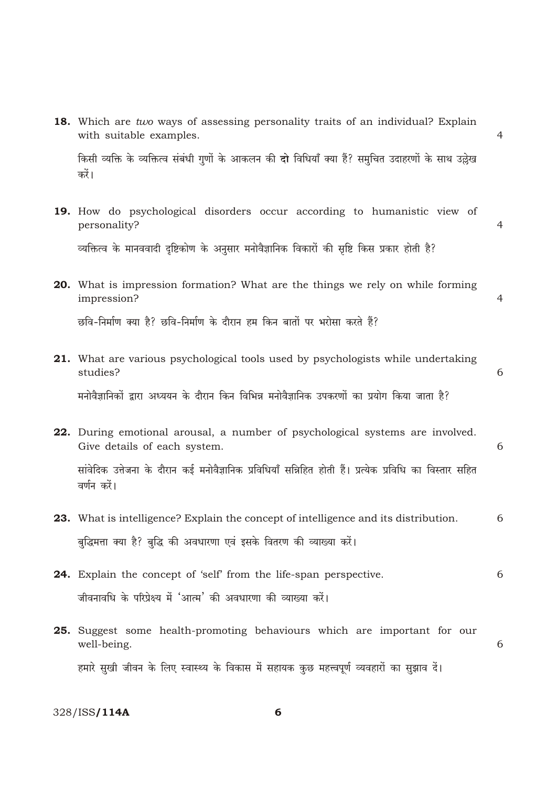|     | 18. Which are two ways of assessing personality traits of an individual? Explain<br>with suitable examples.              |   |  |
|-----|--------------------------------------------------------------------------------------------------------------------------|---|--|
|     | किसी व्यक्ति के व्यक्तित्व संबंधी गुणों के आकलन की <b>दो</b> विधियाँ क्या हैं? समुचित उदाहरणों के साथ उल्लेख<br>करें।    |   |  |
|     | 19. How do psychological disorders occur according to humanistic view of<br>personality?                                 | 4 |  |
|     | व्यक्तित्व के मानववादी दृष्टिकोण के अनुसार मनोवैज्ञानिक विकारों की सृष्टि किस प्रकार होती है?                            |   |  |
|     | 20. What is impression formation? What are the things we rely on while forming<br>impression?                            | 4 |  |
|     | छवि-निर्माण क्या है? छवि-निर्माण के दौरान हम किन बातों पर भरोसा करते हैं?                                                |   |  |
|     | <b>21.</b> What are various psychological tools used by psychologists while undertaking<br>studies?                      | 6 |  |
|     | मनोवैज्ञानिकों द्वारा अध्ययन के दौरान किन विभिन्न मनोवैज्ञानिक उपकरणों का प्रयोग किया जाता है?                           |   |  |
|     | 22. During emotional arousal, a number of psychological systems are involved.<br>Give details of each system.            | 6 |  |
|     | सांवेदिक उत्तेजना के दौरान कई मनोवैज्ञानिक प्रविधियाँ सन्निहित होती हैं। प्रत्येक प्रविधि का विस्तार सहित<br>वर्णन करें। |   |  |
|     | 23. What is intelligence? Explain the concept of intelligence and its distribution.                                      | 6 |  |
|     | बुद्धिमत्ता क्या है? बुद्धि की अवधारणा एवं इसके वितरण की व्याख्या करें।                                                  |   |  |
|     | 24. Explain the concept of 'self' from the life-span perspective.                                                        | 6 |  |
|     | जीवनावधि के परिप्रेक्ष्य में 'आत्म' की अवधारणा की व्याख्या करें।                                                         |   |  |
| 25. | Suggest some health-promoting behaviours which are important for our<br>well-being.                                      | 6 |  |
|     | हमारे सुखी जीवन के लिए स्वास्थ्य के विकास में सहायक कुछ महत्त्वपूर्ण व्यवहारों का सुझाव दें।                             |   |  |

328/ISS**/114A** 

 $6\phantom{1}$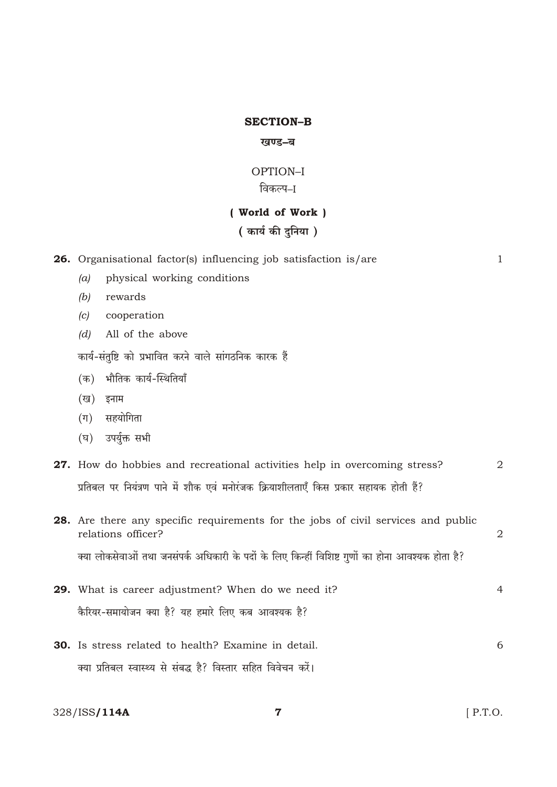### **SECTION-B**

### खण्ड–ब

### OPTION-I विकल्प–I

# (World of Work)

# ( कार्य की दुनिया )

|         | 26. Organisational factor(s) influencing job satisfaction is/are                                        | $\mathbf{1}$ |
|---------|---------------------------------------------------------------------------------------------------------|--------------|
| (a)     | physical working conditions                                                                             |              |
| (b)     | rewards                                                                                                 |              |
| (c)     | cooperation                                                                                             |              |
| (d)     | All of the above                                                                                        |              |
|         | कार्य-संतुष्टि को प्रभावित करने वाले सांगठनिक कारक हैं                                                  |              |
| (क)     | भौतिक कार्य-स्थितियाँ                                                                                   |              |
| (ख)     | इनाम                                                                                                    |              |
| $(\Pi)$ | सहयोगिता                                                                                                |              |
| (घ)     | उपर्युक्त सभी                                                                                           |              |
|         | 27. How do hobbies and recreational activities help in overcoming stress?                               | 2            |
|         | प्रतिबल पर नियंत्रण पाने में शौक एवं मनोरंजक क्रियाशीलताएँ किस प्रकार सहायक होती हैं?                   |              |
|         | 28. Are there any specific requirements for the jobs of civil services and public<br>relations officer? | 2            |
|         | क्या लोकसेवाओं तथा जनसंपर्क अधिकारी के पदों के लिए किन्हीं विशिष्ट गुणों का होना आवश्यक होता है?        |              |
|         | 29. What is career adjustment? When do we need it?                                                      | 4            |
|         | कैरियर-समायोजन क्या है? यह हमारे लिए कब आवश्यक है?                                                      |              |
|         | 30. Is stress related to health? Examine in detail.                                                     | 6            |
|         | क्या प्रतिबल स्वास्थ्य से संबद्ध है? विस्तार सहित विवेचन करें।                                          |              |
|         | 328/ISS <b>/114A</b><br>7                                                                               | $[$ P.T.O.   |

328/ISS/114A